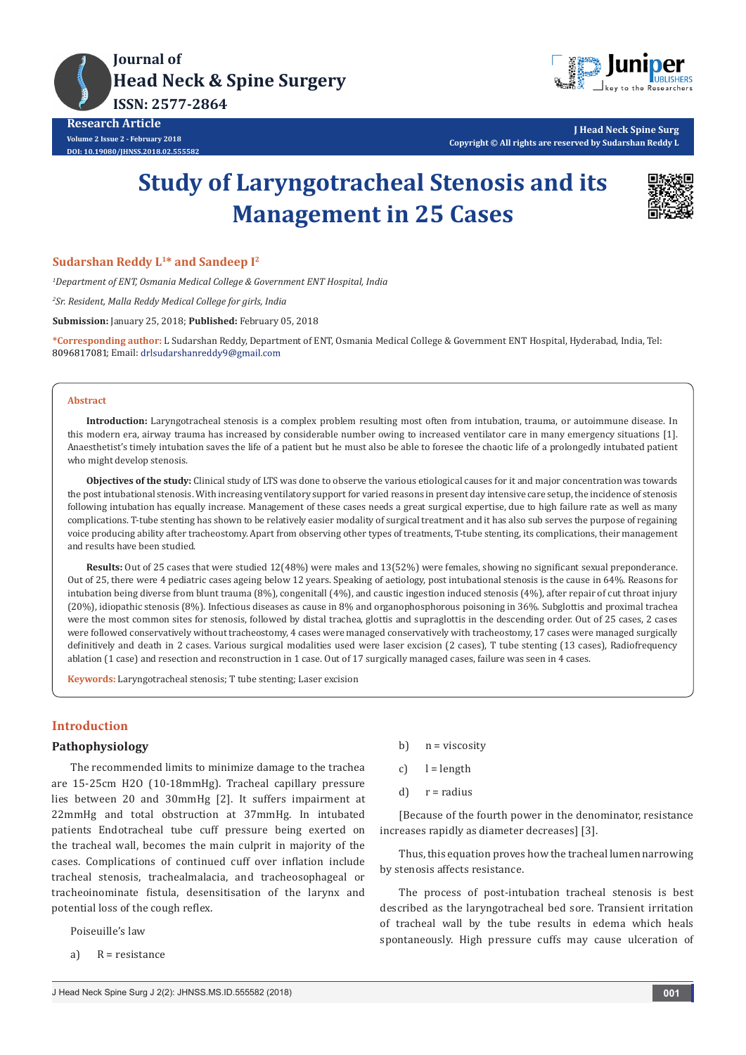

**Research Article Volume 2 Issue 2 - February 2018 DOI: [10.19080/JHNSS.2018.02.555582](http://dx.doi.org/10.19080/jhnss.2018.02.555582
)**



**J Head Neck Spine Surg Copyright © All rights are reserved by Sudarshan Reddy L**

# **Study of Laryngotracheal Stenosis and its Management in 25 Cases**



**Sudarshan Reddy L1\* and Sandeep I2**

*1 Department of ENT, Osmania Medical College & Government ENT Hospital, India*

*2 Sr. Resident, Malla Reddy Medical College for girls, India*

**Submission:** January 25, 2018; **Published:** February 05, 2018

**\*Corresponding author:** L Sudarshan Reddy, Department of ENT, Osmania Medical College & Government ENT Hospital, Hyderabad, India, Tel: 8096817081; Email: drlsudarshanreddy9@gmail.com

#### **Abstract**

**Introduction:** Laryngotracheal stenosis is a complex problem resulting most often from intubation, trauma, or autoimmune disease. In this modern era, airway trauma has increased by considerable number owing to increased ventilator care in many emergency situations [1]. Anaesthetist's timely intubation saves the life of a patient but he must also be able to foresee the chaotic life of a prolongedly intubated patient who might develop stenosis.

**Objectives of the study:** Clinical study of LTS was done to observe the various etiological causes for it and major concentration was towards the post intubational stenosis. With increasing ventilatory support for varied reasons in present day intensive care setup, the incidence of stenosis following intubation has equally increase. Management of these cases needs a great surgical expertise, due to high failure rate as well as many complications. T-tube stenting has shown to be relatively easier modality of surgical treatment and it has also sub serves the purpose of regaining voice producing ability after tracheostomy. Apart from observing other types of treatments, T-tube stenting, its complications, their management and results have been studied.

**Results:** Out of 25 cases that were studied 12(48%) were males and 13(52%) were females, showing no significant sexual preponderance. Out of 25, there were 4 pediatric cases ageing below 12 years. Speaking of aetiology, post intubational stenosis is the cause in 64%. Reasons for intubation being diverse from blunt trauma (8%), congenitall (4%), and caustic ingestion induced stenosis (4%), after repair of cut throat injury (20%), idiopathic stenosis (8%). Infectious diseases as cause in 8% and organophosphorous poisoning in 36%. Subglottis and proximal trachea were the most common sites for stenosis, followed by distal trachea, glottis and supraglottis in the descending order. Out of 25 cases, 2 cases were followed conservatively without tracheostomy, 4 cases were managed conservatively with tracheostomy, 17 cases were managed surgically definitively and death in 2 cases. Various surgical modalities used were laser excision (2 cases), T tube stenting (13 cases), Radiofrequency ablation (1 case) and resection and reconstruction in 1 case. Out of 17 surgically managed cases, failure was seen in 4 cases.

**Keywords:** Laryngotracheal stenosis; T tube stenting; Laser excision

# **Introduction**

# **Pathophysiology**

The recommended limits to minimize damage to the trachea are 15-25cm H2O (10-18mmHg). Tracheal capillary pressure lies between 20 and 30mmHg [2]. It suffers impairment at 22mmHg and total obstruction at 37mmHg. In intubated patients Endotracheal tube cuff pressure being exerted on the tracheal wall, becomes the main culprit in majority of the cases. Complications of continued cuff over inflation include tracheal stenosis, trachealmalacia, and tracheosophageal or tracheoinominate fistula, desensitisation of the larynx and potential loss of the cough reflex.

Poiseuille's law

a) R = resistance

- b)  $n = viscosity$
- c)  $l = length$
- $d)$   $r =$  radius

[Because of the fourth power in the denominator, resistance increases rapidly as diameter decreases] [3].

Thus, this equation proves how the tracheal lumen narrowing by stenosis affects resistance.

The process of post-intubation tracheal stenosis is best described as the laryngotracheal bed sore. Transient irritation of tracheal wall by the tube results in edema which heals spontaneously. High pressure cuffs may cause ulceration of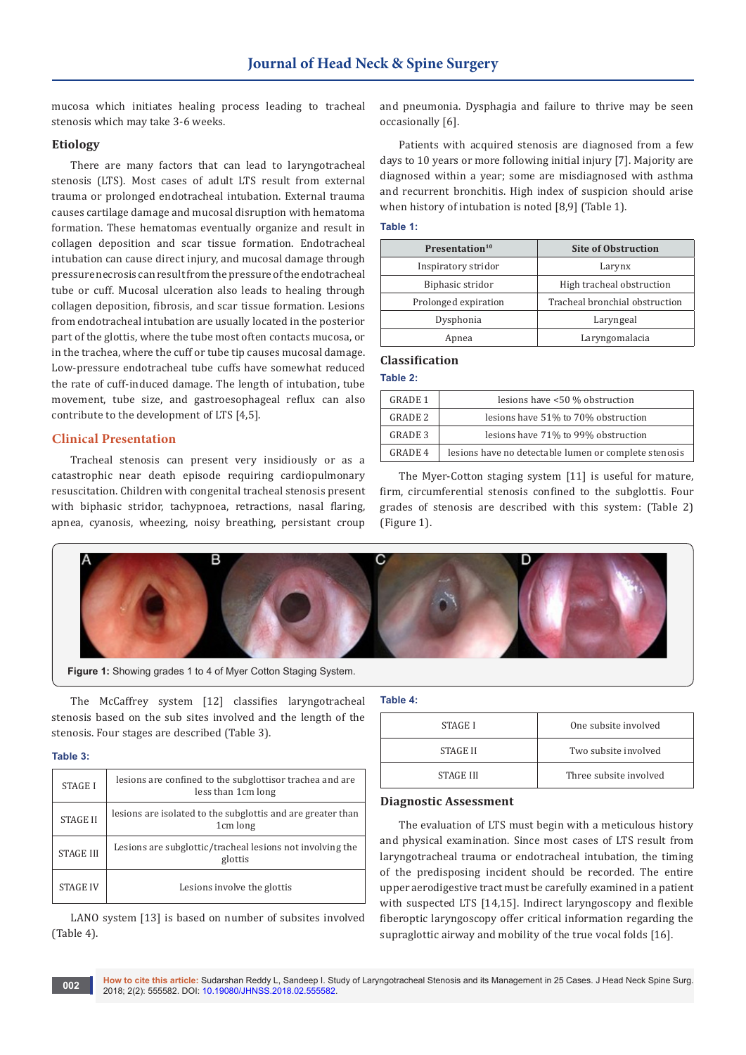mucosa which initiates healing process leading to tracheal stenosis which may take 3-6 weeks.

#### **Etiology**

There are many factors that can lead to laryngotracheal stenosis (LTS). Most cases of adult LTS result from external trauma or prolonged endotracheal intubation. External trauma causes cartilage damage and mucosal disruption with hematoma formation. These hematomas eventually organize and result in collagen deposition and scar tissue formation. Endotracheal intubation can cause direct injury, and mucosal damage through pressure necrosis can result from the pressure of the endotracheal tube or cuff. Mucosal ulceration also leads to healing through collagen deposition, fibrosis, and scar tissue formation. Lesions from endotracheal intubation are usually located in the posterior part of the glottis, where the tube most often contacts mucosa, or in the trachea, where the cuff or tube tip causes mucosal damage. Low-pressure endotracheal tube cuffs have somewhat reduced the rate of cuff-induced damage. The length of intubation, tube movement, tube size, and gastroesophageal reflux can also contribute to the development of LTS [4,5].

### **Clinical Presentation**

Tracheal stenosis can present very insidiously or as a catastrophic near death episode requiring cardiopulmonary resuscitation. Children with congenital tracheal stenosis present with biphasic stridor, tachypnoea, retractions, nasal flaring, apnea, cyanosis, wheezing, noisy breathing, persistant croup

and pneumonia. Dysphagia and failure to thrive may be seen occasionally [6].

Patients with acquired stenosis are diagnosed from a few days to 10 years or more following initial injury [7]. Majority are diagnosed within a year; some are misdiagnosed with asthma and recurrent bronchitis. High index of suspicion should arise when history of intubation is noted [8,9] (Table 1).

#### **Table 1:**

| Presentation <sup>10</sup> | <b>Site of Obstruction</b>     |  |
|----------------------------|--------------------------------|--|
| Inspiratory stridor        | Larynx                         |  |
| Biphasic stridor           | High tracheal obstruction      |  |
| Prolonged expiration       | Tracheal bronchial obstruction |  |
| Dysphonia                  | Laryngeal                      |  |
| Apnea                      | Laryngomalacia                 |  |

#### **Classification**

# **Table 2:**

| GRADE 1        | lesions have <50 % obstruction                        |
|----------------|-------------------------------------------------------|
| <b>GRADE 2</b> | lesions have 51% to 70% obstruction                   |
| <b>GRADE 3</b> | lesions have 71% to 99% obstruction                   |
| GRADE 4        | lesions have no detectable lumen or complete stenosis |

The Myer-Cotton staging system [11] is useful for mature, firm, circumferential stenosis confined to the subglottis. Four grades of stenosis are described with this system: (Table 2) (Figure 1).



**Figure 1:** Showing grades 1 to 4 of Myer Cotton Staging System.

The McCaffrey system [12] classifies laryngotracheal stenosis based on the sub sites involved and the length of the stenosis. Four stages are described (Table 3).

#### **Table 3:**

| <b>STAGE I</b>   | lesions are confined to the subglottisor trachea and are<br>less than 1cm long |
|------------------|--------------------------------------------------------------------------------|
| <b>STAGE II</b>  | lesions are isolated to the subglottis and are greater than<br>1cm long        |
| <b>STAGE III</b> | Lesions are subglottic/tracheal lesions not involving the<br>glottis           |
| <b>STAGE IV</b>  | Lesions involve the glottis                                                    |

LANO system [13] is based on number of subsites involved (Table 4).

### **Table 4:**

| STAGE I          | One subsite involved   |
|------------------|------------------------|
| STAGE II         | Two subsite involved   |
| <b>STAGE III</b> | Three subsite involved |

#### **Diagnostic Assessment**

The evaluation of LTS must begin with a meticulous history and physical examination. Since most cases of LTS result from laryngotracheal trauma or endotracheal intubation, the timing of the predisposing incident should be recorded. The entire upper aerodigestive tract must be carefully examined in a patient with suspected LTS [14,15]. Indirect laryngoscopy and flexible fiberoptic laryngoscopy offer critical information regarding the supraglottic airway and mobility of the true vocal folds [16].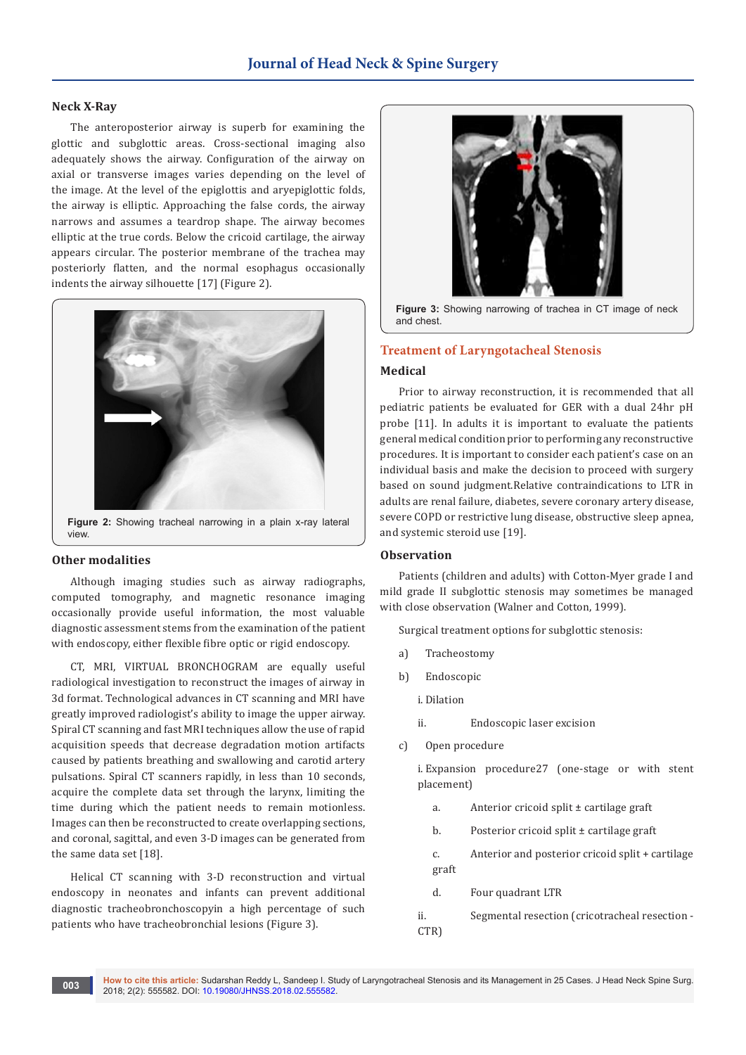#### **Neck X-Ray**

The anteroposterior airway is superb for examining the glottic and subglottic areas. Cross-sectional imaging also adequately shows the airway. Configuration of the airway on axial or transverse images varies depending on the level of the image. At the level of the epiglottis and aryepiglottic folds, the airway is elliptic. Approaching the false cords, the airway narrows and assumes a teardrop shape. The airway becomes elliptic at the true cords. Below the cricoid cartilage, the airway appears circular. The posterior membrane of the trachea may posteriorly flatten, and the normal esophagus occasionally indents the airway silhouette [17] (Figure 2).



## **Other modalities**

Although imaging studies such as airway radiographs, computed tomography, and magnetic resonance imaging occasionally provide useful information, the most valuable diagnostic assessment stems from the examination of the patient with endoscopy, either flexible fibre optic or rigid endoscopy.

CT, MRI, VIRTUAL BRONCHOGRAM are equally useful radiological investigation to reconstruct the images of airway in 3d format. Technological advances in CT scanning and MRI have greatly improved radiologist's ability to image the upper airway. Spiral CT scanning and fast MRI techniques allow the use of rapid acquisition speeds that decrease degradation motion artifacts caused by patients breathing and swallowing and carotid artery pulsations. Spiral CT scanners rapidly, in less than 10 seconds, acquire the complete data set through the larynx, limiting the time during which the patient needs to remain motionless. Images can then be reconstructed to create overlapping sections, and coronal, sagittal, and even 3-D images can be generated from the same data set [18].

Helical CT scanning with 3-D reconstruction and virtual endoscopy in neonates and infants can prevent additional diagnostic tracheobronchoscopyin a high percentage of such patients who have tracheobronchial lesions (Figure 3).



**Figure 3:** Showing narrowing of trachea in CT image of neck and chest.

## **Treatment of Laryngotacheal Stenosis**

## **Medical**

Prior to airway reconstruction, it is recommended that all pediatric patients be evaluated for GER with a dual 24hr pH probe [11]. In adults it is important to evaluate the patients general medical condition prior to performing any reconstructive procedures. It is important to consider each patient's case on an individual basis and make the decision to proceed with surgery based on sound judgment.Relative contraindications to LTR in adults are renal failure, diabetes, severe coronary artery disease, severe COPD or restrictive lung disease, obstructive sleep apnea, and systemic steroid use [19].

#### **Observation**

Patients (children and adults) with Cotton-Myer grade I and mild grade II subglottic stenosis may sometimes be managed with close observation (Walner and Cotton, 1999).

Surgical treatment options for subglottic stenosis:

- a) Tracheostomy
- b) Endoscopic
	- i. Dilation
	- ii. Endoscopic laser excision
- c) Open procedure

i. Expansion procedure27 (one-stage or with stent placement)

- a. Anterior cricoid split ± cartilage graft
- b. Posterior cricoid split ± cartilage graft
- c. Anterior and posterior cricoid split + cartilage graft
- d. Four quadrant LTR
- ii. Segmental resection (cricotracheal resection CTR)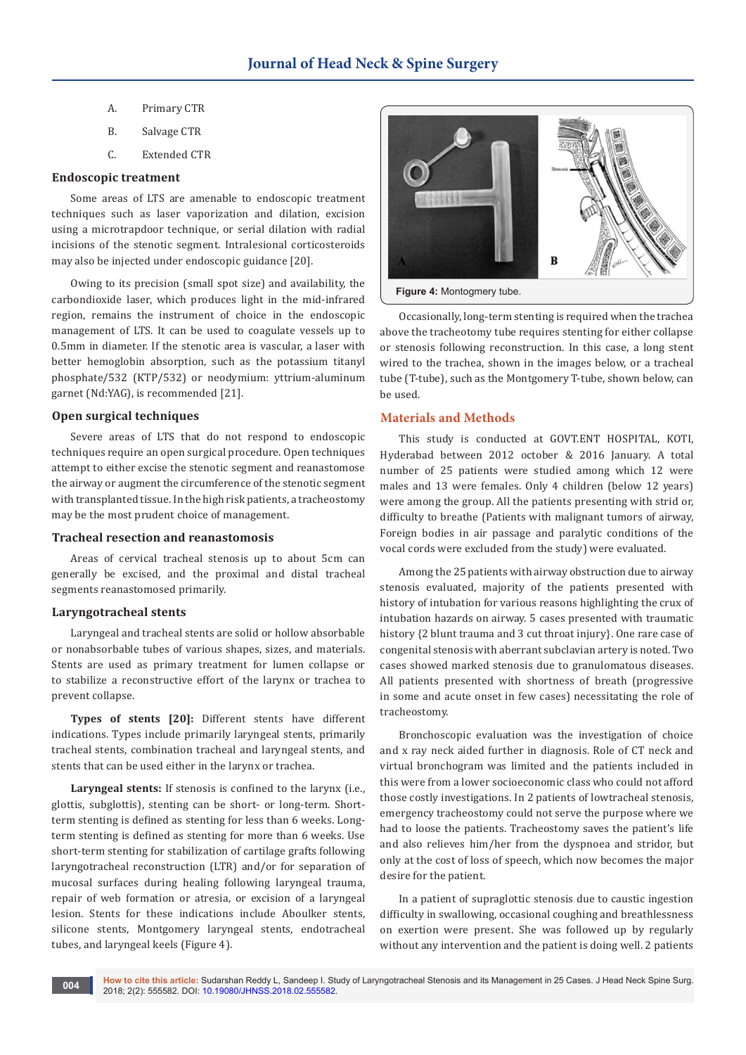- A. Primary CTR
- B. Salvage CTR
- C. Extended CTR

#### **Endoscopic treatment**

Some areas of LTS are amenable to endoscopic treatment techniques such as laser vaporization and dilation, excision using a microtrapdoor technique, or serial dilation with radial incisions of the stenotic segment. Intralesional corticosteroids may also be injected under endoscopic guidance [20].

Owing to its precision (small spot size) and availability, the carbondioxide laser, which produces light in the mid-infrared region, remains the instrument of choice in the endoscopic management of LTS. It can be used to coagulate vessels up to 0.5mm in diameter. If the stenotic area is vascular, a laser with better hemoglobin absorption, such as the potassium titanyl phosphate/532 (KTP/532) or neodymium: yttrium-aluminum garnet (Nd:YAG), is recommended [21].

## **Open surgical techniques**

Severe areas of LTS that do not respond to endoscopic techniques require an open surgical procedure. Open techniques attempt to either excise the stenotic segment and reanastomose the airway or augment the circumference of the stenotic segment with transplanted tissue. In the high risk patients, a tracheostomy may be the most prudent choice of management.

#### **Tracheal resection and reanastomosis**

Areas of cervical tracheal stenosis up to about 5cm can generally be excised, and the proximal and distal tracheal segments reanastomosed primarily.

#### **Laryngotracheal stents**

Laryngeal and tracheal stents are solid or hollow absorbable or nonabsorbable tubes of various shapes, sizes, and materials. Stents are used as primary treatment for lumen collapse or to stabilize a reconstructive effort of the larynx or trachea to prevent collapse.

**Types of stents [20]:** Different stents have different indications. Types include primarily laryngeal stents, primarily tracheal stents, combination tracheal and laryngeal stents, and stents that can be used either in the larynx or trachea.

**Laryngeal stents:** If stenosis is confined to the larynx (i.e., glottis, subglottis), stenting can be short- or long-term. Shortterm stenting is defined as stenting for less than 6 weeks. Longterm stenting is defined as stenting for more than 6 weeks. Use short-term stenting for stabilization of cartilage grafts following laryngotracheal reconstruction (LTR) and/or for separation of mucosal surfaces during healing following laryngeal trauma, repair of web formation or atresia, or excision of a laryngeal lesion. Stents for these indications include Aboulker stents, silicone stents, Montgomery laryngeal stents, endotracheal tubes, and laryngeal keels (Figure 4).



Occasionally, long-term stenting is required when the trachea above the tracheotomy tube requires stenting for either collapse or stenosis following reconstruction. In this case, a long stent wired to the trachea, shown in the images below, or a tracheal tube (T-tube), such as the Montgomery T-tube, shown below, can be used.

# **Materials and Methods**

This study is conducted at GOVT.ENT HOSPITAL, KOTI, Hyderabad between 2012 october & 2016 January. A total number of 25 patients were studied among which 12 were males and 13 were females. Only 4 children (below 12 years) were among the group. All the patients presenting with strid or, difficulty to breathe (Patients with malignant tumors of airway, Foreign bodies in air passage and paralytic conditions of the vocal cords were excluded from the study) were evaluated.

Among the 25 patients with airway obstruction due to airway stenosis evaluated, majority of the patients presented with history of intubation for various reasons highlighting the crux of intubation hazards on airway. 5 cases presented with traumatic history {2 blunt trauma and 3 cut throat injury}. One rare case of congenital stenosis with aberrant subclavian artery is noted. Two cases showed marked stenosis due to granulomatous diseases. All patients presented with shortness of breath (progressive in some and acute onset in few cases) necessitating the role of tracheostomy.

Bronchoscopic evaluation was the investigation of choice and x ray neck aided further in diagnosis. Role of CT neck and virtual bronchogram was limited and the patients included in this were from a lower socioeconomic class who could not afford those costly investigations. In 2 patients of lowtracheal stenosis, emergency tracheostomy could not serve the purpose where we had to loose the patients. Tracheostomy saves the patient's life and also relieves him/her from the dyspnoea and stridor, but only at the cost of loss of speech, which now becomes the major desire for the patient.

In a patient of supraglottic stenosis due to caustic ingestion difficulty in swallowing, occasional coughing and breathlessness on exertion were present. She was followed up by regularly without any intervention and the patient is doing well. 2 patients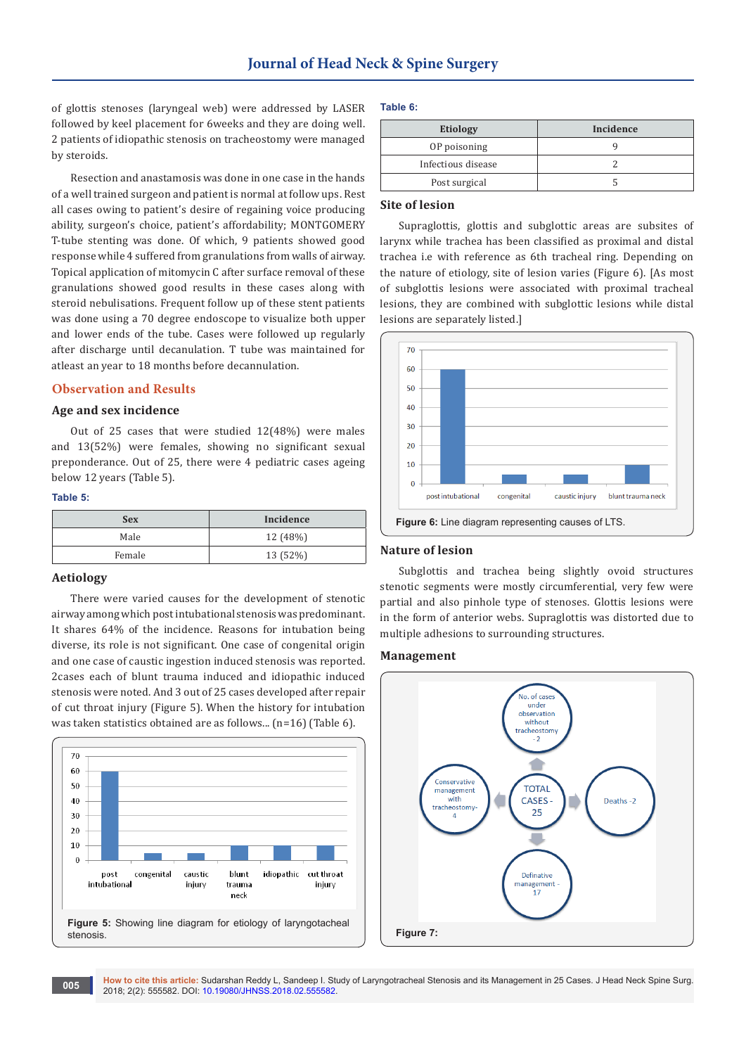of glottis stenoses (laryngeal web) were addressed by LASER followed by keel placement for 6weeks and they are doing well. 2 patients of idiopathic stenosis on tracheostomy were managed by steroids.

Resection and anastamosis was done in one case in the hands of a well trained surgeon and patient is normal at follow ups. Rest all cases owing to patient's desire of regaining voice producing ability, surgeon's choice, patient's affordability; MONTGOMERY T-tube stenting was done. Of which, 9 patients showed good response while 4 suffered from granulations from walls of airway. Topical application of mitomycin C after surface removal of these granulations showed good results in these cases along with steroid nebulisations. Frequent follow up of these stent patients was done using a 70 degree endoscope to visualize both upper and lower ends of the tube. Cases were followed up regularly after discharge until decanulation. T tube was maintained for atleast an year to 18 months before decannulation.

#### **Observation and Results**

# **Age and sex incidence**

Out of 25 cases that were studied 12(48%) were males and 13(52%) were females, showing no significant sexual preponderance. Out of 25, there were 4 pediatric cases ageing below 12 years (Table 5).

#### **Table 5:**

| <b>Sex</b> | Incidence |
|------------|-----------|
| Male       | 12 (48%)  |
| Female     | 13 (52%)  |

### **Aetiology**

There were varied causes for the development of stenotic airway among which post intubational stenosis was predominant. It shares 64% of the incidence. Reasons for intubation being diverse, its role is not significant. One case of congenital origin and one case of caustic ingestion induced stenosis was reported. 2cases each of blunt trauma induced and idiopathic induced stenosis were noted. And 3 out of 25 cases developed after repair of cut throat injury (Figure 5). When the history for intubation was taken statistics obtained are as follows... (n=16) (Table 6).



#### **Table 6:**

| <b>Etiology</b>    | Incidence |
|--------------------|-----------|
| OP poisoning       |           |
| Infectious disease |           |
| Post surgical      |           |

# **Site of lesion**

Supraglottis, glottis and subglottic areas are subsites of larynx while trachea has been classified as proximal and distal trachea i.e with reference as 6th tracheal ring. Depending on the nature of etiology, site of lesion varies (Figure 6). [As most of subglottis lesions were associated with proximal tracheal lesions, they are combined with subglottic lesions while distal lesions are separately listed.]



#### **Nature of lesion**

Subglottis and trachea being slightly ovoid structures stenotic segments were mostly circumferential, very few were partial and also pinhole type of stenoses. Glottis lesions were in the form of anterior webs. Supraglottis was distorted due to multiple adhesions to surrounding structures.

#### **Management**

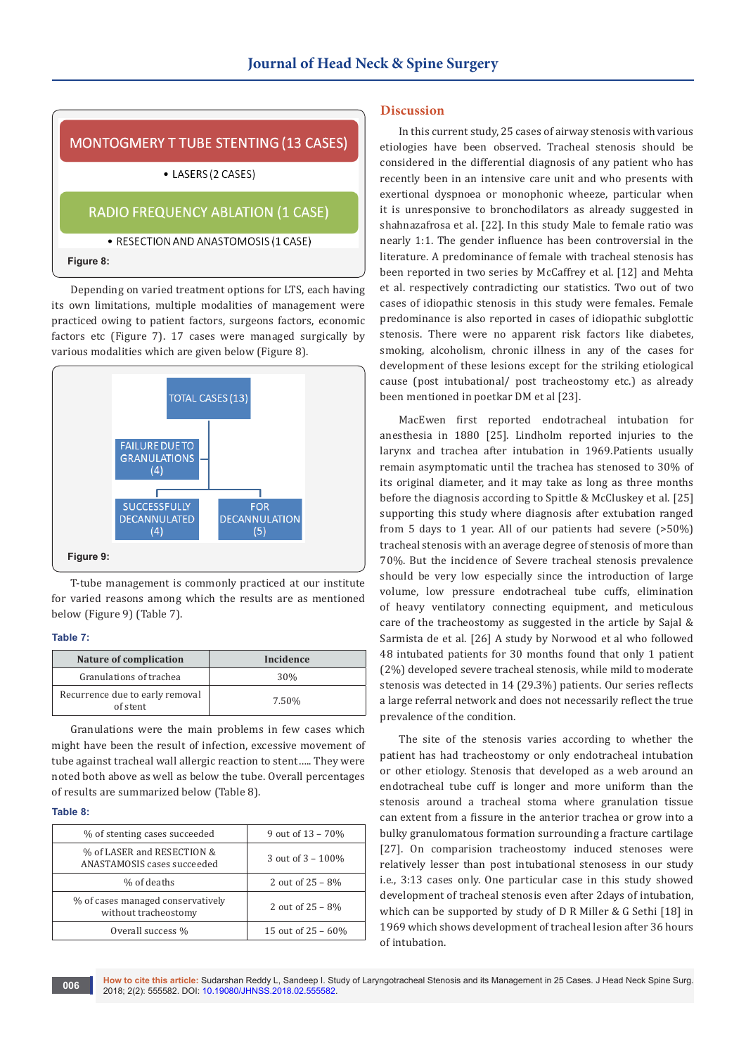

## • RESECTION AND ANASTOMOSIS (1 CASE)

#### **Figure 8:**

Depending on varied treatment options for LTS, each having its own limitations, multiple modalities of management were practiced owing to patient factors, surgeons factors, economic factors etc (Figure 7). 17 cases were managed surgically by various modalities which are given below (Figure 8).



T-tube management is commonly practiced at our institute for varied reasons among which the results are as mentioned below (Figure 9) (Table 7).

### **Table 7:**

| Nature of complication                      | Incidence       |
|---------------------------------------------|-----------------|
| Granulations of trachea                     | 30 <sub>%</sub> |
| Recurrence due to early removal<br>of stent | 7.50%           |

Granulations were the main problems in few cases which might have been the result of infection, excessive movement of tube against tracheal wall allergic reaction to stent….. They were noted both above as well as below the tube. Overall percentages of results are summarized below (Table 8).

#### **Table 8:**

| % of stenting cases succeeded                             | 9 out of $13 - 70%$   |
|-----------------------------------------------------------|-----------------------|
| % of LASER and RESECTION &<br>ANASTAMOSIS cases succeeded | 3 out of $3 - 100\%$  |
| % of deaths                                               | 2 out of $25 - 8\%$   |
| % of cases managed conservatively<br>without tracheostomy | 2 out of $25 - 8\%$   |
| Overall success %                                         | 15 out of $25 - 60\%$ |

#### **Discussion**

In this current study, 25 cases of airway stenosis with various etiologies have been observed. Tracheal stenosis should be considered in the differential diagnosis of any patient who has recently been in an intensive care unit and who presents with exertional dyspnoea or monophonic wheeze, particular when it is unresponsive to bronchodilators as already suggested in shahnazafrosa et al. [22]. In this study Male to female ratio was nearly 1:1. The gender influence has been controversial in the literature. A predominance of female with tracheal stenosis has been reported in two series by McCaffrey et al. [12] and Mehta et al. respectively contradicting our statistics. Two out of two cases of idiopathic stenosis in this study were females. Female predominance is also reported in cases of idiopathic subglottic stenosis. There were no apparent risk factors like diabetes, smoking, alcoholism, chronic illness in any of the cases for development of these lesions except for the striking etiological cause (post intubational/ post tracheostomy etc.) as already been mentioned in poetkar DM et al [23].

MacEwen first reported endotracheal intubation for anesthesia in 1880 [25]. Lindholm reported injuries to the larynx and trachea after intubation in 1969.Patients usually remain asymptomatic until the trachea has stenosed to 30% of its original diameter, and it may take as long as three months before the diagnosis according to Spittle & McCluskey et al. [25] supporting this study where diagnosis after extubation ranged from 5 days to 1 year. All of our patients had severe (>50%) tracheal stenosis with an average degree of stenosis of more than 70%. But the incidence of Severe tracheal stenosis prevalence should be very low especially since the introduction of large volume, low pressure endotracheal tube cuffs, elimination of heavy ventilatory connecting equipment, and meticulous care of the tracheostomy as suggested in the article by Sajal & Sarmista de et al. [26] A study by Norwood et al who followed 48 intubated patients for 30 months found that only 1 patient (2%) developed severe tracheal stenosis, while mild to moderate stenosis was detected in 14 (29.3%) patients. Our series reflects a large referral network and does not necessarily reflect the true prevalence of the condition.

The site of the stenosis varies according to whether the patient has had tracheostomy or only endotracheal intubation or other etiology. Stenosis that developed as a web around an endotracheal tube cuff is longer and more uniform than the stenosis around a tracheal stoma where granulation tissue can extent from a fissure in the anterior trachea or grow into a bulky granulomatous formation surrounding a fracture cartilage [27]. On comparision tracheostomy induced stenoses were relatively lesser than post intubational stenosess in our study i.e., 3:13 cases only. One particular case in this study showed development of tracheal stenosis even after 2days of intubation, which can be supported by study of D R Miller & G Sethi [18] in 1969 which shows development of tracheal lesion after 36 hours of intubation.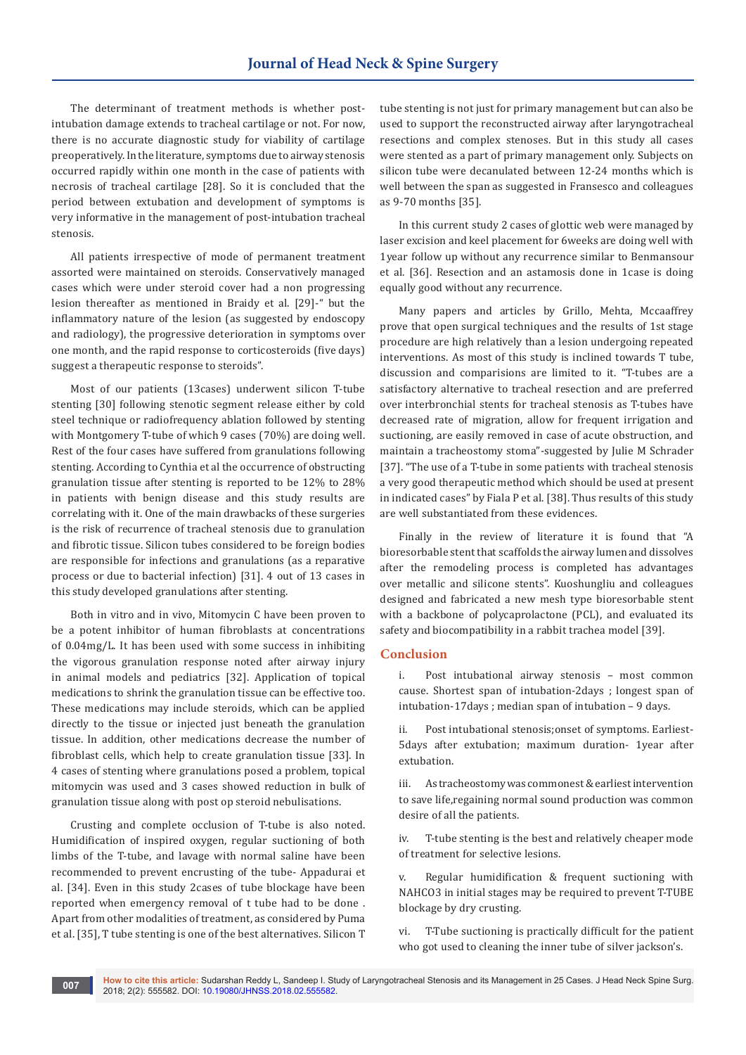The determinant of treatment methods is whether postintubation damage extends to tracheal cartilage or not. For now, there is no accurate diagnostic study for viability of cartilage preoperatively. In the literature, symptoms due to airway stenosis occurred rapidly within one month in the case of patients with necrosis of tracheal cartilage [28]. So it is concluded that the period between extubation and development of symptoms is very informative in the management of post-intubation tracheal stenosis.

All patients irrespective of mode of permanent treatment assorted were maintained on steroids. Conservatively managed cases which were under steroid cover had a non progressing lesion thereafter as mentioned in Braidy et al. [29]-" but the inflammatory nature of the lesion (as suggested by endoscopy and radiology), the progressive deterioration in symptoms over one month, and the rapid response to corticosteroids (five days) suggest a therapeutic response to steroids".

Most of our patients (13cases) underwent silicon T-tube stenting [30] following stenotic segment release either by cold steel technique or radiofrequency ablation followed by stenting with Montgomery T-tube of which 9 cases (70%) are doing well. Rest of the four cases have suffered from granulations following stenting. According to Cynthia et al the occurrence of obstructing granulation tissue after stenting is reported to be 12% to 28% in patients with benign disease and this study results are correlating with it. One of the main drawbacks of these surgeries is the risk of recurrence of tracheal stenosis due to granulation and fibrotic tissue. Silicon tubes considered to be foreign bodies are responsible for infections and granulations (as a reparative process or due to bacterial infection) [31]. 4 out of 13 cases in this study developed granulations after stenting.

Both in vitro and in vivo, Mitomycin C have been proven to be a potent inhibitor of human fibroblasts at concentrations of 0.04mg/L. It has been used with some success in inhibiting the vigorous granulation response noted after airway injury in animal models and pediatrics [32]. Application of topical medications to shrink the granulation tissue can be effective too. These medications may include steroids, which can be applied directly to the tissue or injected just beneath the granulation tissue. In addition, other medications decrease the number of fibroblast cells, which help to create granulation tissue [33]. In 4 cases of stenting where granulations posed a problem, topical mitomycin was used and 3 cases showed reduction in bulk of granulation tissue along with post op steroid nebulisations.

Crusting and complete occlusion of T-tube is also noted. Humidification of inspired oxygen, regular suctioning of both limbs of the T-tube, and lavage with normal saline have been recommended to prevent encrusting of the tube- Appadurai et al. [34]. Even in this study 2cases of tube blockage have been reported when emergency removal of t tube had to be done . Apart from other modalities of treatment, as considered by Puma et al. [35], T tube stenting is one of the best alternatives. Silicon T

tube stenting is not just for primary management but can also be used to support the reconstructed airway after laryngotracheal resections and complex stenoses. But in this study all cases were stented as a part of primary management only. Subjects on silicon tube were decanulated between 12-24 months which is well between the span as suggested in Fransesco and colleagues as 9-70 months [35].

In this current study 2 cases of glottic web were managed by laser excision and keel placement for 6weeks are doing well with 1year follow up without any recurrence similar to Benmansour et al. [36]. Resection and an astamosis done in 1case is doing equally good without any recurrence.

Many papers and articles by Grillo, Mehta, Mccaaffrey prove that open surgical techniques and the results of 1st stage procedure are high relatively than a lesion undergoing repeated interventions. As most of this study is inclined towards T tube, discussion and comparisions are limited to it. "T-tubes are a satisfactory alternative to tracheal resection and are preferred over interbronchial stents for tracheal stenosis as T-tubes have decreased rate of migration, allow for frequent irrigation and suctioning, are easily removed in case of acute obstruction, and maintain a tracheostomy stoma"-suggested by Julie M Schrader [37]. "The use of a T-tube in some patients with tracheal stenosis a very good therapeutic method which should be used at present in indicated cases" by Fiala P et al. [38]. Thus results of this study are well substantiated from these evidences.

Finally in the review of literature it is found that "A bioresorbable stent that scaffolds the airway lumen and dissolves after the remodeling process is completed has advantages over metallic and silicone stents". Kuoshungliu and colleagues designed and fabricated a new mesh type bioresorbable stent with a backbone of polycaprolactone (PCL), and evaluated its safety and biocompatibility in a rabbit trachea model [39].

# **Conclusion**

i. Post intubational airway stenosis – most common cause. Shortest span of intubation-2days ; longest span of intubation-17days ; median span of intubation – 9 days.

ii. Post intubational stenosis;onset of symptoms. Earliest-5days after extubation; maximum duration- 1year after extubation.

iii. As tracheostomy was commonest & earliest intervention to save life,regaining normal sound production was common desire of all the patients.

iv. T-tube stenting is the best and relatively cheaper mode of treatment for selective lesions.

v. Regular humidification & frequent suctioning with NAHCO3 in initial stages may be required to prevent T-TUBE blockage by dry crusting.

vi. T-Tube suctioning is practically difficult for the patient who got used to cleaning the inner tube of silver jackson's.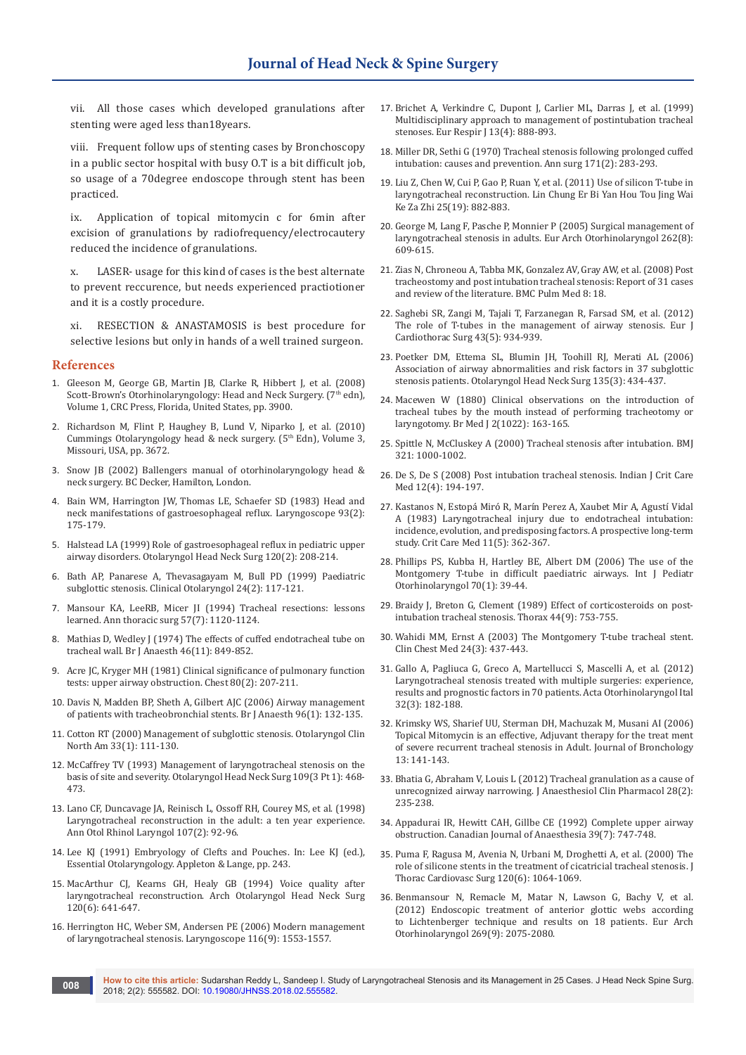vii. All those cases which developed granulations after stenting were aged less than18years.

viii. Frequent follow ups of stenting cases by Bronchoscopy in a public sector hospital with busy O.T is a bit difficult job, so usage of a 70degree endoscope through stent has been practiced.

ix. Application of topical mitomycin c for 6min after excision of granulations by radiofrequency/electrocautery reduced the incidence of granulations.

x. LASER- usage for this kind of cases is the best alternate to prevent reccurence, but needs experienced practiotioner and it is a costly procedure.

xi. RESECTION & ANASTAMOSIS is best procedure for selective lesions but only in hands of a well trained surgeon.

#### **References**

- 1. Gleeson M, George GB, Martin JB, Clarke R, Hibbert J, et al. (2008) Scott-Brown's Otorhinolaryngology: Head and Neck Surgery. (7th edn), Volume 1, CRC Press, Florida, United States, pp. 3900.
- 2. Richardson M, Flint P, Haughey B, Lund V, Niparko J, et al. (2010) Cummings Otolaryngology head & neck surgery.  $(5<sup>th</sup> Edn)$ , Volume 3, Missouri, USA, pp. 3672.
- 3. Snow JB (2002) Ballengers manual of otorhinolaryngology head & neck surgery. BC Decker, Hamilton, London.
- 4. [Bain WM, Harrington JW, Thomas LE, Schaefer SD \(1983\) Head and](https://www.ncbi.nlm.nih.gov/pubmed/6823187)  [neck manifestations of gastroesophageal reflux. Laryngoscope 93\(2\):](https://www.ncbi.nlm.nih.gov/pubmed/6823187)  [175-179.](https://www.ncbi.nlm.nih.gov/pubmed/6823187)
- 5. [Halstead LA \(1999\) Role of gastroesophageal reflux in pediatric upper](https://www.ncbi.nlm.nih.gov/pubmed/9949354)  [airway disorders. Otolaryngol Head Neck Surg 120\(2\): 208-214.](https://www.ncbi.nlm.nih.gov/pubmed/9949354)
- 6. [Bath AP, Panarese A, Thevasagayam M, Bull PD \(1999\) Paediatric](http://onlinelibrary.wiley.com/doi/10.1046/j.1365-2273.1999.00228.x/abstract)  [subglottic stenosis. Clinical Otolaryngol 24\(2\): 117-121.](http://onlinelibrary.wiley.com/doi/10.1046/j.1365-2273.1999.00228.x/abstract)
- 7. [Mansour KA, LeeRB, Micer JI \(1994\) Tracheal resections: lessons](https://www.ncbi.nlm.nih.gov/pubmed/8179373)  [learned. Ann thoracic surg 57\(7\): 1120-1124.](https://www.ncbi.nlm.nih.gov/pubmed/8179373)
- 8. Mathias D, Wedley J (1974) The effects of cuffed endotracheal tube on [tracheal wall. Br J Anaesth 46\(11\): 849-852.](https://www.ncbi.nlm.nih.gov/pubmed/4621305)
- 9. [Acre JC, Kryger MH \(1981\) Clinical significance of pulmonary function](https://www.ncbi.nlm.nih.gov/pubmed/7249767)  [tests: upper airway obstruction. Chest 80\(2\): 207-211.](https://www.ncbi.nlm.nih.gov/pubmed/7249767)
- 10. [Davis N, Madden BP, Sheth A, Gilbert AJC \(2006\) Airway management](https://www.ncbi.nlm.nih.gov/pubmed/16257995)  [of patients with tracheobronchial stents. Br J Anaesth 96\(1\): 132-135.](https://www.ncbi.nlm.nih.gov/pubmed/16257995)
- 11. [Cotton RT \(2000\) Management of subglottic stenosis. Otolaryngol Clin](https://www.ncbi.nlm.nih.gov/pubmed/10637347)  [North Am 33\(1\): 111-130.](https://www.ncbi.nlm.nih.gov/pubmed/10637347)
- 12. [McCaffrey TV \(1993\) Management of laryngotracheal stenosis on the](https://www.ncbi.nlm.nih.gov/pubmed/8414564)  [basis of site and severity. Otolaryngol Head Neck Surg 109\(3 Pt 1\): 468-](https://www.ncbi.nlm.nih.gov/pubmed/8414564) [473.](https://www.ncbi.nlm.nih.gov/pubmed/8414564)
- 13. [Lano CF, Duncavage JA, Reinisch L, Ossoff RH, Courey MS, et al. \(1998\)](https://www.ncbi.nlm.nih.gov/pubmed/9486901)  [Laryngotracheal reconstruction in the adult: a ten year experience.](https://www.ncbi.nlm.nih.gov/pubmed/9486901)  [Ann Otol Rhinol Laryngol 107\(2\): 92-](https://www.ncbi.nlm.nih.gov/pubmed/9486901)96.
- 14. Lee KJ (1991) Embryology of Clefts and Pouches. In: Lee KJ (ed.), Essential Otolaryngology. Appleton & Lange, pp. 243.
- 15. [MacArthur CJ, Kearns GH, Healy GB \(1994\) Voice quality after](https://www.ncbi.nlm.nih.gov/pubmed/8198787)  [laryngotracheal reconstruction. Arch Otolaryngol Head Neck Surg](https://www.ncbi.nlm.nih.gov/pubmed/8198787)  [120\(6\): 641-647.](https://www.ncbi.nlm.nih.gov/pubmed/8198787)
- 16. [Herrington HC, Weber SM, Andersen PE \(2006\) Modern management](https://www.ncbi.nlm.nih.gov/pubmed/16954977)  [of laryngotracheal stenosis. Laryngoscope 116\(9\): 1553-1557.](https://www.ncbi.nlm.nih.gov/pubmed/16954977)
- 17. [Brichet A, Verkindre C, Dupont J, Carlier ML, Darras J, et al. \(1999\)](https://www.ncbi.nlm.nih.gov/pubmed/10362058)  [Multidisciplinary approach to management of postintubation tracheal](https://www.ncbi.nlm.nih.gov/pubmed/10362058)  [stenoses. Eur Respir J 13\(4\): 888-893.](https://www.ncbi.nlm.nih.gov/pubmed/10362058)
- 18. [Miller DR, Sethi G \(1970\) Tracheal stenosis following prolonged cuffed](https://www.ncbi.nlm.nih.gov/pubmed/5413464)  [intubation: causes and prevention. Ann surg 171\(2\): 283-293.](https://www.ncbi.nlm.nih.gov/pubmed/5413464)
- 19. [Liu Z, Chen W, Cui P, Gao P, Ruan Y, et al. \(2011\) Use of silicon T-tube in](https://www.ncbi.nlm.nih.gov/pubmed/22242471)  [laryngotracheal reconstruction. Lin Chung Er Bi Yan Hou Tou Jing Wai](https://www.ncbi.nlm.nih.gov/pubmed/22242471)  [Ke Za Zhi 25\(19\): 882-883.](https://www.ncbi.nlm.nih.gov/pubmed/22242471)
- 20. [George M, Lang F, Pasche P, Monnier P \(2005\) Surgical management of](https://www.ncbi.nlm.nih.gov/pubmed/15668812)  [laryngotracheal stenosis in adults. Eur Arch Otorhinolaryngol 262\(8\):](https://www.ncbi.nlm.nih.gov/pubmed/15668812)  [609-615.](https://www.ncbi.nlm.nih.gov/pubmed/15668812)
- 21. [Zias N, Chroneou A, Tabba MK, Gonzalez AV, Gray AW, et al. \(2008\) Post](https://www.ncbi.nlm.nih.gov/pubmed/18803874)  [tracheostomy and post intubation tracheal stenosis: Report of 31 cases](https://www.ncbi.nlm.nih.gov/pubmed/18803874)  [and review of the literature. BMC Pulm Med 8: 18.](https://www.ncbi.nlm.nih.gov/pubmed/18803874)
- 22. [Saghebi SR, Zangi M, Tajali T, Farzanegan R, Farsad SM, et al. \(2012\)](https://www.ncbi.nlm.nih.gov/pubmed/22991458)  [The role of T-tubes in the management of airway stenosis. Eur J](https://www.ncbi.nlm.nih.gov/pubmed/22991458)  [Cardiothorac Surg 43\(5\): 934-939.](https://www.ncbi.nlm.nih.gov/pubmed/22991458)
- 23. [Poetker DM, Ettema SL, Blumin JH, Toohill RJ, Merati AL \(2006\)](https://www.ncbi.nlm.nih.gov/pubmed/16949978)  [Association of airway abnormalities and risk factors in 37 subglottic](https://www.ncbi.nlm.nih.gov/pubmed/16949978)  [stenosis patients. Otolaryngol Head Neck Surg 135\(3\): 434-437.](https://www.ncbi.nlm.nih.gov/pubmed/16949978)
- 24. [Macewen W \(1880\) Clinical observations on the introduction of](https://www.ncbi.nlm.nih.gov/pubmed/20749636/)  [tracheal tubes by the mouth instead of performing tracheotomy or](https://www.ncbi.nlm.nih.gov/pubmed/20749636/)  [laryngotomy. Br Med J 2\(1022\): 163-165.](https://www.ncbi.nlm.nih.gov/pubmed/20749636/)
- 25. [Spittle N, McCluskey A \(2000\) Tracheal stenosis after intubation. BMJ](http://www.bmj.com/content/321/7267/1000)  [321: 1000-1002.](http://www.bmj.com/content/321/7267/1000)
- 26. [De S, De S \(2008\) Post intubation tracheal stenosis. Indian J Crit Care](https://www.ncbi.nlm.nih.gov/pubmed/19742266/)  [Med 12\(4\): 194-197.](https://www.ncbi.nlm.nih.gov/pubmed/19742266/)
- 27. [Kastanos N, Estopá Miró R, Marín Perez A, Xaubet Mir A, Agustí Vidal](https://www.ncbi.nlm.nih.gov/pubmed/6839788)  [A \(1983\) Laryngotracheal injury due to endotracheal intubation:](https://www.ncbi.nlm.nih.gov/pubmed/6839788)  [incidence, evolution, and predisposing factors. A prospective long-term](https://www.ncbi.nlm.nih.gov/pubmed/6839788)  [study. Crit Care Med 11\(5\): 362-367.](https://www.ncbi.nlm.nih.gov/pubmed/6839788)
- 28. [Phillips PS, Kubba H, Hartley BE, Albert DM \(2006\) The use of the](https://www.ncbi.nlm.nih.gov/pubmed/15978676)  [Montgomery T-tube in difficult paediatric airways. Int J Pediatr](https://www.ncbi.nlm.nih.gov/pubmed/15978676)  [Otorhinolaryngol 70\(1\): 39-44.](https://www.ncbi.nlm.nih.gov/pubmed/15978676)
- 29. [Braidy J, Breton G, Clement \(1989\) Effect of corticosteroids on post](https://www.ncbi.nlm.nih.gov/pubmed/2588212/)[intubation tracheal stenosis. Thorax 44\(9\): 753-755.](https://www.ncbi.nlm.nih.gov/pubmed/2588212/)
- 30. [Wahidi MM, Ernst A \(2003\) The Montgomery T-tube tracheal stent.](https://www.ncbi.nlm.nih.gov/pubmed/14535218)  [Clin Chest Med 24\(3\): 437-443.](https://www.ncbi.nlm.nih.gov/pubmed/14535218)
- 31. [Gallo A, Pagliuca G, Greco A, Martellucci S, Mascelli A, et al. \(2012\)](https://www.ncbi.nlm.nih.gov/pubmed/22767984)  [Laryngotracheal stenosis treated with multiple surgeries: experience,](https://www.ncbi.nlm.nih.gov/pubmed/22767984)  [results and prognostic factors in 70 patients. Acta Otorhinolaryngol Ital](https://www.ncbi.nlm.nih.gov/pubmed/22767984)  [32\(3\): 182-188.](https://www.ncbi.nlm.nih.gov/pubmed/22767984)
- 32. Krimsky WS, Sharief UU, Sterman DH, Machuzak M, Musani AI (2006) Topical Mitomycin is an effective, Adjuvant therapy for the treat ment of severe recurrent tracheal stenosis in Adult. Journal of Bronchology 13: 141-143.
- 33. [Bhatia G, Abraham V, Louis L \(2012\) Tracheal granulation as a cause of](https://www.ncbi.nlm.nih.gov/pubmed/22557751/)  [unrecognized airway narrowing. J Anaesthesiol Clin Pharmacol 28\(2\):](https://www.ncbi.nlm.nih.gov/pubmed/22557751/)  [235-238.](https://www.ncbi.nlm.nih.gov/pubmed/22557751/)
- 34. [Appadurai IR, Hewitt CAH, Gillbe CE \(1992\) Complete upper airway](https://link.springer.com/article/10.1007/BF03008248)  [obstruction. Canadian Journal of Anaesthesia 39\(7\): 747-748.](https://link.springer.com/article/10.1007/BF03008248)
- 35. [Puma F, Ragusa M, Avenia N, Urbani M, Droghetti A, et al. \(2000\) The](https://www.ncbi.nlm.nih.gov/pubmed/11088027)  [role of silicone stents in the treatment of cicatricial tracheal stenosis. J](https://www.ncbi.nlm.nih.gov/pubmed/11088027)  [Thorac Cardiovasc Surg 120\(6\): 1064-1069.](https://www.ncbi.nlm.nih.gov/pubmed/11088027)
- 36. [Benmansour N, Remacle M, Matar N, Lawson G, Bachy V, et al.](https://www.ncbi.nlm.nih.gov/pubmed/22454231)  [\(2012\) Endoscopic treatment of anterior glottic webs according](https://www.ncbi.nlm.nih.gov/pubmed/22454231)  [to Lichtenberger technique and results on 18 patients. Eur Arch](https://www.ncbi.nlm.nih.gov/pubmed/22454231)  [Otorhinolaryngol 269\(9\): 2075-2080.](https://www.ncbi.nlm.nih.gov/pubmed/22454231)